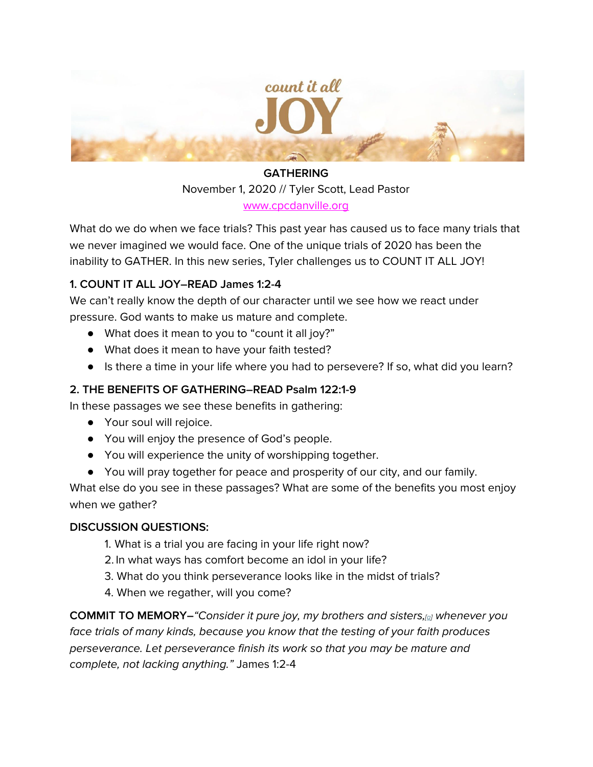

## **GATHERING**

November 1, 2020 // Tyler Scott, Lead Pastor [www.cpcdanville.org](http://www.cpcdanville.org/)

What do we do when we face trials? This past year has caused us to face many trials that we never imagined we would face. One of the unique trials of 2020 has been the inability to GATHER. In this new series, Tyler challenges us to COUNT IT ALL JOY!

## **1. COUNT IT ALL JOY–READ James 1:2-4**

We can't really know the depth of our character until we see how we react under pressure. God wants to make us mature and complete.

- What does it mean to you to "count it all joy?"
- What does it mean to have your faith tested?
- Is there a time in your life where you had to persevere? If so, what did you learn?

## **2. THE BENEFITS OF GATHERING–READ Psalm 122:1-9**

In these passages we see these benefits in gathering:

- Your soul will rejoice.
- You will enjoy the presence of God's people.
- You will experience the unity of worshipping together.
- You will pray together for peace and prosperity of our city, and our family.

What else do you see in these passages? What are some of the benefits you most enjoy when we gather?

## **DISCUSSION QUESTIONS:**

- 1. What is a trial you are facing in your life right now?
- 2. In what ways has comfort become an idol in your life?
- 3. What do you think perseverance looks like in the midst of trials?
- 4. When we regather, will you come?

**COMMIT TO MEMORY–**"Consider it pure joy, my brothers and sisters,[[a\]](https://www.biblegateway.com/passage/?search=James%201&version=NIV#fen-NIV-30269a) whenever you face trials of many kinds, because you know that the testing of your faith produces perseverance. Let perseverance finish its work so that you may be mature and complete, not lacking anything." James 1:2-4